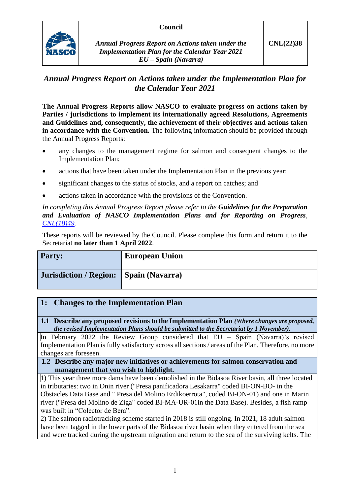### **Council**



*Annual Progress Report on Actions taken under the Implementation Plan for the Calendar Year 2021 EU – Spain (Navarra)*

# *Annual Progress Report on Actions taken under the Implementation Plan for the Calendar Year 2021*

**The Annual Progress Reports allow NASCO to evaluate progress on actions taken by Parties / jurisdictions to implement its internationally agreed Resolutions, Agreements and Guidelines and, consequently, the achievement of their objectives and actions taken in accordance with the Convention.** The following information should be provided through the Annual Progress Reports:

- any changes to the management regime for salmon and consequent changes to the Implementation Plan;
- actions that have been taken under the Implementation Plan in the previous year;
- significant changes to the status of stocks, and a report on catches; and
- actions taken in accordance with the provisions of the Convention.

*In completing this Annual Progress Report please refer to the Guidelines for the Preparation and Evaluation of NASCO Implementation Plans and for Reporting on Progress, [CNL\(18\)49.](https://nasco.int/wp-content/uploads/2020/02/CNL1849_Guidelines-for-the-Preparation-and-Evaluation-of-NASCO-Implementation-Plans-and-for-Reporting-on-Progress.pdf)*

These reports will be reviewed by the Council. Please complete this form and return it to the Secretariat **no later than 1 April 2022**.

| <b>Party:</b>                            | <b>European Union</b> |
|------------------------------------------|-----------------------|
| Jurisdiction / Region:   Spain (Navarra) |                       |

## **1: Changes to the Implementation Plan**

**1.1 Describe any proposed revisions to the Implementation Plan** *(Where changes are proposed, the revised Implementation Plans should be submitted to the Secretariat by 1 November).*

In February 2022 the Review Group considered that EU – Spain (Navarra)'s revised Implementation Plan is fully satisfactory across all sections / areas of the Plan. Therefore, no more changes are foreseen.

#### **1.2 Describe any major new initiatives or achievements for salmon conservation and management that you wish to highlight.**

1) This year three more dams have been demolished in the Bidasoa River basin, all three located in tributaries: two in Onin river ("Presa panificadora Lesakarra" coded BI-ON-BO- in the Obstacles Data Base and " Presa del Molino Erdikoerrota", coded BI-ON-01) and one in Marin river ("Presa del Molino de Ziga" coded BI-MA-UR-01in the Data Base). Besides, a fish ramp was built in "Colector de Bera".

2) The salmon radiotracking scheme started in 2018 is still ongoing. In 2021, 18 adult salmon have been tagged in the lower parts of the Bidasoa river basin when they entered from the sea and were tracked during the upstream migration and return to the sea of the surviving kelts. The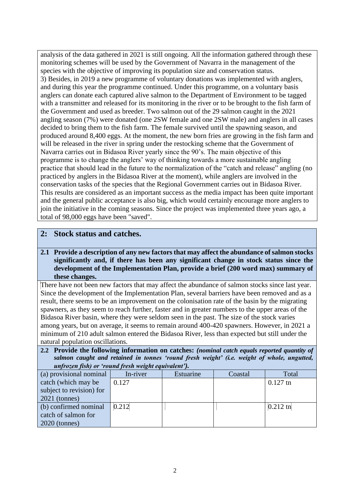analysis of the data gathered in 2021 is still ongoing. All the information gathered through these monitoring schemes will be used by the Government of Navarra in the management of the species with the objective of improving its population size and conservation status. 3) Besides, in 2019 a new programme of voluntary donations was implemented with anglers, and during this year the programme continued. Under this programme, on a voluntary basis anglers can donate each captured alive salmon to the Department of Environment to be tagged with a transmitter and released for its monitoring in the river or to be brought to the fish farm of the Government and used as breeder. Two salmon out of the 29 salmon caught in the 2021 angling season (7%) were donated (one 2SW female and one 2SW male) and anglers in all cases decided to bring them to the fish farm. The female survived until the spawning season, and produced around 8,400 eggs. At the moment, the new born fries are growing in the fish farm and will be released in the river in spring under the restocking scheme that the Government of Navarra carries out in Bidasoa River yearly since the 90's. The main objective of this programme is to change the anglers' way of thinking towards a more sustainable angling practice that should lead in the future to the normalization of the "catch and release" angling (no practiced by anglers in the Bidasoa River at the moment), while anglers are involved in the conservation tasks of the species that the Regional Government carries out in Bidasoa River. This results are considered as an important success as the media impact has been quite important and the general public acceptance is also big, which would certainly encourage more anglers to join the initiative in the coming seasons. Since the project was implemented three years ago, a total of 98,000 eggs have been "saved".

## **2: Stock status and catches.**

#### **2.1 Provide a description of any new factors that may affect the abundance of salmon stocks significantly and, if there has been any significant change in stock status since the development of the Implementation Plan, provide a brief (200 word max) summary of these changes.**

There have not been new factors that may affect the abundance of salmon stocks since last year. Since the development of the Implementation Plan, several barriers have been removed and as a result, there seems to be an improvement on the colonisation rate of the basin by the migrating spawners, as they seem to reach further, faster and in greater numbers to the upper areas of the Bidasoa River basin, where they were seldom seen in the past. The size of the stock varies among years, but on average, it seems to remain around 400-420 spawners. However, in 2021 a minimum of 210 adult salmon entered the Bidasoa River, less than expected but still under the natural population oscillations.

**2.2 Provide the following information on catches:** *(nominal catch equals reported quantity of salmon caught and retained in tonnes 'round fresh weight' (i.e. weight of whole, ungutted, unfrozen fish) or 'round fresh weight equivalent').*

|                          | $\ldots$ , $\ldots$ , $\ldots$ , $\ldots$ , $\ldots$ , $\ldots$ , $\ldots$ , $\ldots$ , $\ldots$ , $\ldots$ , $\ldots$ , $\ldots$ , $\ldots$ |           |         |            |
|--------------------------|----------------------------------------------------------------------------------------------------------------------------------------------|-----------|---------|------------|
| (a) provisional nominal  | In-river                                                                                                                                     | Estuarine | Coastal | Total      |
| catch (which may be      | 0.127                                                                                                                                        |           |         | $0.127$ tn |
| subject to revision) for |                                                                                                                                              |           |         |            |
| $2021$ (tonnes)          |                                                                                                                                              |           |         |            |
| (b) confirmed nominal    | 0.212                                                                                                                                        |           |         | $0.212$ tn |
| catch of salmon for      |                                                                                                                                              |           |         |            |
| $2020$ (tonnes)          |                                                                                                                                              |           |         |            |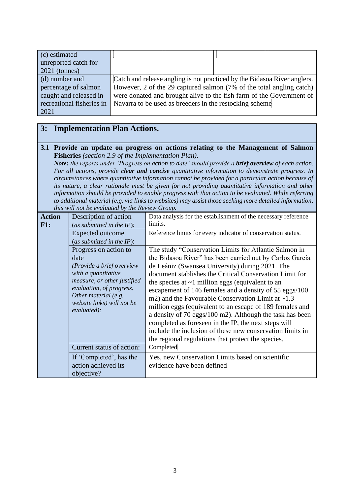| (c) estimated             |                                                                          |                                                                      |  |
|---------------------------|--------------------------------------------------------------------------|----------------------------------------------------------------------|--|
| unreported catch for      |                                                                          |                                                                      |  |
| $2021$ (tonnes)           |                                                                          |                                                                      |  |
| (d) number and            | Catch and release angling is not practiced by the Bidasoa River anglers. |                                                                      |  |
| percentage of salmon      | However, 2 of the 29 captured salmon (7% of the total angling catch)     |                                                                      |  |
| caught and released in    |                                                                          | were donated and brought alive to the fish farm of the Government of |  |
| recreational fisheries in |                                                                          | Navarra to be used as breeders in the restocking scheme              |  |
| 2021                      |                                                                          |                                                                      |  |

# **3: Implementation Plan Actions.**

**3.1 Provide an update on progress on actions relating to the Management of Salmon Fisheries** *(section 2.9 of the Implementation Plan).*

*Note: the reports under 'Progress on action to date' should provide a brief overview of each action. For all actions, provide clear and concise quantitative information to demonstrate progress. In circumstances where quantitative information cannot be provided for a particular action because of its nature, a clear rationale must be given for not providing quantitative information and other information should be provided to enable progress with that action to be evaluated. While referring to additional material (e.g. via links to websites) may assist those seeking more detailed information, this will not be evaluated by the Review Group.*

| <b>Action</b><br>F1: | Description of action<br>(as submitted in the $IP$ ):<br>Expected outcome<br>(as submitted in the IP):                                                                                                            | Data analysis for the establishment of the necessary reference<br>limits.<br>Reference limits for every indicator of conservation status.                                                                                                                                                                                                                                                                                                                                                                                                                                                                                                                                                                         |
|----------------------|-------------------------------------------------------------------------------------------------------------------------------------------------------------------------------------------------------------------|-------------------------------------------------------------------------------------------------------------------------------------------------------------------------------------------------------------------------------------------------------------------------------------------------------------------------------------------------------------------------------------------------------------------------------------------------------------------------------------------------------------------------------------------------------------------------------------------------------------------------------------------------------------------------------------------------------------------|
|                      | Progress on action to<br>date<br>(Provide a brief overview<br>with a quantitative<br>measure, or other justified<br>evaluation, of progress.<br>Other material (e.g.<br>website links) will not be<br>evaluated): | The study "Conservation Limits for Atlantic Salmon in<br>the Bidasoa River" has been carried out by Carlos García<br>de Leániz (Swansea University) during 2021. The<br>document stablishes the Critical Conservation Limit for<br>the species at $\sim$ 1 million eggs (equivalent to an<br>escapement of 146 females and a density of 55 eggs/100<br>m2) and the Favourable Conservation Limit at $\sim$ 1.3<br>million eggs (equivalent to an escape of 189 females and<br>a density of 70 eggs/100 m2). Although the task has been<br>completed as foreseen in the IP, the next steps will<br>include the inclusion of these new conservation limits in<br>the regional regulations that protect the species. |
|                      | Current status of action:<br>If 'Completed', has the<br>action achieved its<br>objective?                                                                                                                         | Completed<br>Yes, new Conservation Limits based on scientific<br>evidence have been defined                                                                                                                                                                                                                                                                                                                                                                                                                                                                                                                                                                                                                       |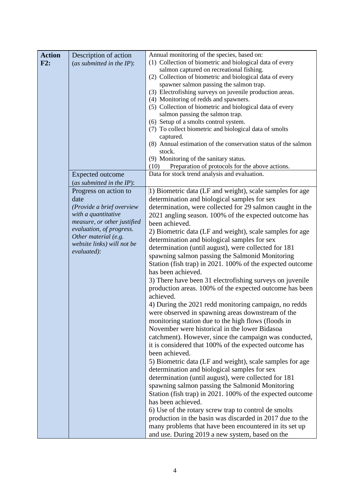| <b>Action</b><br>F2: | Description of action<br>(as submitted in the $IP$ ):                                                       | Annual monitoring of the species, based on:<br>(1) Collection of biometric and biological data of every<br>salmon captured on recreational fishing.<br>(2) Collection of biometric and biological data of every                                     |
|----------------------|-------------------------------------------------------------------------------------------------------------|-----------------------------------------------------------------------------------------------------------------------------------------------------------------------------------------------------------------------------------------------------|
|                      |                                                                                                             | spawner salmon passing the salmon trap.<br>(3) Electrofishing surveys on juvenile production areas.<br>(4) Monitoring of redds and spawners.<br>(5) Collection of biometric and biological data of every                                            |
|                      |                                                                                                             | salmon passing the salmon trap.<br>(6) Setup of a smolts control system.<br>(7) To collect biometric and biological data of smolts<br>captured.                                                                                                     |
|                      |                                                                                                             | (8) Annual estimation of the conservation status of the salmon<br>stock.<br>(9) Monitoring of the sanitary status.<br>Preparation of protocols for the above actions.<br>(10)                                                                       |
|                      | <b>Expected outcome</b>                                                                                     | Data for stock trend analysis and evaluation.                                                                                                                                                                                                       |
|                      | (as submitted in the $IP$ ):<br>Progress on action to<br>date                                               | 1) Biometric data (LF and weight), scale samples for age<br>determination and biological samples for sex                                                                                                                                            |
|                      | (Provide a brief overview<br>with a quantitative<br>measure, or other justified<br>evaluation, of progress. | determination, were collected for 29 salmon caught in the<br>2021 angling season. 100% of the expected outcome has<br>been achieved.                                                                                                                |
|                      | Other material (e.g.<br>website links) will not be<br>evaluated):                                           | 2) Biometric data (LF and weight), scale samples for age<br>determination and biological samples for sex<br>determination (until august), were collected for 181                                                                                    |
|                      |                                                                                                             | spawning salmon passing the Salmonid Monitoring<br>Station (fish trap) in 2021. 100% of the expected outcome<br>has been achieved.                                                                                                                  |
|                      |                                                                                                             | 3) There have been 31 electrofishing surveys on juvenile<br>production areas. 100% of the expected outcome has been<br>achieved.                                                                                                                    |
|                      |                                                                                                             | 4) During the 2021 redd monitoring campaign, no redds<br>were observed in spawning areas downstream of the<br>monitoring station due to the high flows (floods in                                                                                   |
|                      |                                                                                                             | November were historical in the lower Bidasoa<br>catchment). However, since the campaign was conducted,<br>it is considered that 100% of the expected outcome has                                                                                   |
|                      |                                                                                                             | been achieved.<br>5) Biometric data (LF and weight), scale samples for age<br>determination and biological samples for sex                                                                                                                          |
|                      |                                                                                                             | determination (until august), were collected for 181<br>spawning salmon passing the Salmonid Monitoring<br>Station (fish trap) in 2021. 100% of the expected outcome                                                                                |
|                      |                                                                                                             | has been achieved.<br>6) Use of the rotary screw trap to control de smolts<br>production in the basin was discarded in 2017 due to the<br>many problems that have been encountered in its set up<br>and use. During 2019 a new system, based on the |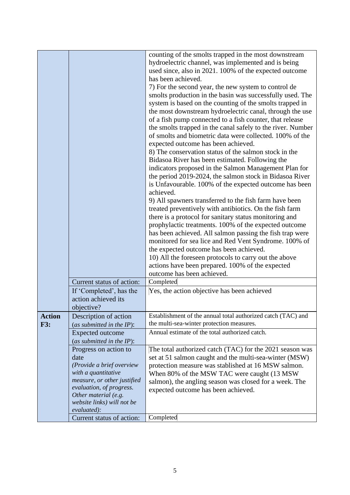|               |                                                       | counting of the smolts trapped in the most downstream<br>hydroelectric channel, was implemented and is being<br>used since, also in 2021. 100% of the expected outcome<br>has been achieved.<br>7) For the second year, the new system to control de<br>smolts production in the basin was successfully used. The<br>system is based on the counting of the smolts trapped in<br>the most downstream hydroelectric canal, through the use<br>of a fish pump connected to a fish counter, that release<br>the smolts trapped in the canal safely to the river. Number<br>of smolts and biometric data were collected. 100% of the<br>expected outcome has been achieved.<br>8) The conservation status of the salmon stock in the<br>Bidasoa River has been estimated. Following the<br>indicators proposed in the Salmon Management Plan for<br>the period 2019-2024, the salmon stock in Bidasoa River<br>is Unfavourable. 100% of the expected outcome has been<br>achieved.<br>9) All spawners transferred to the fish farm have been<br>treated preventively with antibiotics. On the fish farm<br>there is a protocol for sanitary status monitoring and<br>prophylactic treatments. 100% of the expected outcome<br>has been achieved. All salmon passing the fish trap were<br>monitored for sea lice and Red Vent Syndrome. 100% of<br>the expected outcome has been achieved.<br>10) All the foreseen protocols to carry out the above<br>actions have been prepared. 100% of the expected<br>outcome has been achieved. |
|---------------|-------------------------------------------------------|-----------------------------------------------------------------------------------------------------------------------------------------------------------------------------------------------------------------------------------------------------------------------------------------------------------------------------------------------------------------------------------------------------------------------------------------------------------------------------------------------------------------------------------------------------------------------------------------------------------------------------------------------------------------------------------------------------------------------------------------------------------------------------------------------------------------------------------------------------------------------------------------------------------------------------------------------------------------------------------------------------------------------------------------------------------------------------------------------------------------------------------------------------------------------------------------------------------------------------------------------------------------------------------------------------------------------------------------------------------------------------------------------------------------------------------------------------------------------------------------------------------------------------------|
|               | Current status of action:                             | Completed                                                                                                                                                                                                                                                                                                                                                                                                                                                                                                                                                                                                                                                                                                                                                                                                                                                                                                                                                                                                                                                                                                                                                                                                                                                                                                                                                                                                                                                                                                                         |
|               |                                                       |                                                                                                                                                                                                                                                                                                                                                                                                                                                                                                                                                                                                                                                                                                                                                                                                                                                                                                                                                                                                                                                                                                                                                                                                                                                                                                                                                                                                                                                                                                                                   |
|               | If 'Completed', has the<br>action achieved its        | Yes, the action objective has been achieved                                                                                                                                                                                                                                                                                                                                                                                                                                                                                                                                                                                                                                                                                                                                                                                                                                                                                                                                                                                                                                                                                                                                                                                                                                                                                                                                                                                                                                                                                       |
|               | objective?                                            |                                                                                                                                                                                                                                                                                                                                                                                                                                                                                                                                                                                                                                                                                                                                                                                                                                                                                                                                                                                                                                                                                                                                                                                                                                                                                                                                                                                                                                                                                                                                   |
| <b>Action</b> |                                                       | Establishment of the annual total authorized catch (TAC) and                                                                                                                                                                                                                                                                                                                                                                                                                                                                                                                                                                                                                                                                                                                                                                                                                                                                                                                                                                                                                                                                                                                                                                                                                                                                                                                                                                                                                                                                      |
| <b>F3:</b>    | Description of action<br>(as submitted in the $IP$ ): | the multi-sea-winter protection measures.                                                                                                                                                                                                                                                                                                                                                                                                                                                                                                                                                                                                                                                                                                                                                                                                                                                                                                                                                                                                                                                                                                                                                                                                                                                                                                                                                                                                                                                                                         |
|               | <b>Expected outcome</b>                               | Annual estimate of the total authorized catch.                                                                                                                                                                                                                                                                                                                                                                                                                                                                                                                                                                                                                                                                                                                                                                                                                                                                                                                                                                                                                                                                                                                                                                                                                                                                                                                                                                                                                                                                                    |
|               | (as submitted in the $IP$ ):                          |                                                                                                                                                                                                                                                                                                                                                                                                                                                                                                                                                                                                                                                                                                                                                                                                                                                                                                                                                                                                                                                                                                                                                                                                                                                                                                                                                                                                                                                                                                                                   |
|               | Progress on action to                                 | The total authorized catch (TAC) for the 2021 season was                                                                                                                                                                                                                                                                                                                                                                                                                                                                                                                                                                                                                                                                                                                                                                                                                                                                                                                                                                                                                                                                                                                                                                                                                                                                                                                                                                                                                                                                          |
|               | date                                                  | set at 51 salmon caught and the multi-sea-winter (MSW)                                                                                                                                                                                                                                                                                                                                                                                                                                                                                                                                                                                                                                                                                                                                                                                                                                                                                                                                                                                                                                                                                                                                                                                                                                                                                                                                                                                                                                                                            |
|               | (Provide a brief overview                             | protection measure was stablished at 16 MSW salmon.                                                                                                                                                                                                                                                                                                                                                                                                                                                                                                                                                                                                                                                                                                                                                                                                                                                                                                                                                                                                                                                                                                                                                                                                                                                                                                                                                                                                                                                                               |
|               | with a quantitative                                   | When 80% of the MSW TAC were caught (13 MSW                                                                                                                                                                                                                                                                                                                                                                                                                                                                                                                                                                                                                                                                                                                                                                                                                                                                                                                                                                                                                                                                                                                                                                                                                                                                                                                                                                                                                                                                                       |
|               | measure, or other justified                           | salmon), the angling season was closed for a week. The                                                                                                                                                                                                                                                                                                                                                                                                                                                                                                                                                                                                                                                                                                                                                                                                                                                                                                                                                                                                                                                                                                                                                                                                                                                                                                                                                                                                                                                                            |
|               | evaluation, of progress.                              | expected outcome has been achieved.                                                                                                                                                                                                                                                                                                                                                                                                                                                                                                                                                                                                                                                                                                                                                                                                                                                                                                                                                                                                                                                                                                                                                                                                                                                                                                                                                                                                                                                                                               |
|               | Other material (e.g.                                  |                                                                                                                                                                                                                                                                                                                                                                                                                                                                                                                                                                                                                                                                                                                                                                                                                                                                                                                                                                                                                                                                                                                                                                                                                                                                                                                                                                                                                                                                                                                                   |
|               | website links) will not be                            |                                                                                                                                                                                                                                                                                                                                                                                                                                                                                                                                                                                                                                                                                                                                                                                                                                                                                                                                                                                                                                                                                                                                                                                                                                                                                                                                                                                                                                                                                                                                   |
|               | evaluated):                                           |                                                                                                                                                                                                                                                                                                                                                                                                                                                                                                                                                                                                                                                                                                                                                                                                                                                                                                                                                                                                                                                                                                                                                                                                                                                                                                                                                                                                                                                                                                                                   |
|               | Current status of action:                             | Completed                                                                                                                                                                                                                                                                                                                                                                                                                                                                                                                                                                                                                                                                                                                                                                                                                                                                                                                                                                                                                                                                                                                                                                                                                                                                                                                                                                                                                                                                                                                         |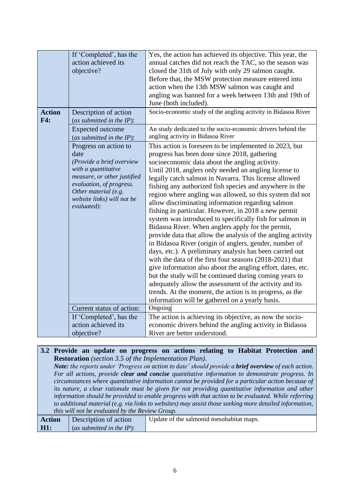| <b>Action</b> | If 'Completed', has the<br>action achieved its<br>objective?<br>Description of action                                                                                                                                                          | Yes, the action has achieved its objective. This year, the<br>annual catches did not reach the TAC, so the season was<br>closed the 31th of July with only 29 salmon caught.<br>Before that, the MSW protection measure entered into<br>action when the 13th MSW salmon was caught and<br>angling was banned for a week between 13th and 19th of<br>June (both included).<br>Socio-economic study of the angling activity in Bidasoa River                                                                                                                                                                                                                                                                                                                                                                                                                                                                                                                                                                                                                                                                                                                                                      |
|---------------|------------------------------------------------------------------------------------------------------------------------------------------------------------------------------------------------------------------------------------------------|-------------------------------------------------------------------------------------------------------------------------------------------------------------------------------------------------------------------------------------------------------------------------------------------------------------------------------------------------------------------------------------------------------------------------------------------------------------------------------------------------------------------------------------------------------------------------------------------------------------------------------------------------------------------------------------------------------------------------------------------------------------------------------------------------------------------------------------------------------------------------------------------------------------------------------------------------------------------------------------------------------------------------------------------------------------------------------------------------------------------------------------------------------------------------------------------------|
| F4:           | (as submitted in the $IP$ ):                                                                                                                                                                                                                   |                                                                                                                                                                                                                                                                                                                                                                                                                                                                                                                                                                                                                                                                                                                                                                                                                                                                                                                                                                                                                                                                                                                                                                                                 |
|               | <b>Expected outcome</b><br>(as submitted in the IP):                                                                                                                                                                                           | An study dedicated to the socio-economic drivers behind the<br>angling activity in Bidasoa River                                                                                                                                                                                                                                                                                                                                                                                                                                                                                                                                                                                                                                                                                                                                                                                                                                                                                                                                                                                                                                                                                                |
|               | Progress on action to<br>date<br>(Provide a brief overview<br>with a quantitative<br>measure, or other justified<br>evaluation, of progress.<br>Other material (e.g.<br>website links) will not be<br>evaluated):<br>Current status of action: | This action is foreseen to be implemented in 2023, but<br>progress has been done since 2018, gathering<br>socioeconomic data about the angling activity.<br>Until 2018, anglers only needed an angling license to<br>legally catch salmon in Navarra. This license allowed<br>fishing any authorized fish species and anywhere in the<br>region where angling was allowed, so this system did not<br>allow discriminating information regarding salmon<br>fishing in particular. However, in 2018 a new permit<br>system was introduced to specifically fish for salmon in<br>Bidasoa River. When anglers apply for the permit,<br>provide data that allow the analysis of the angling activity<br>in Bidasoa River (origin of anglers, gender, number of<br>days, etc.). A preliminary analysis has been carried out<br>with the data of the first four seasons (2018-2021) that<br>give information also about the angling effort, dates, etc.<br>but the study will be continued during coming years to<br>adequately allow the assessment of the activity and its<br>trends. At the moment, the action is in progress, as the<br>information will be gathered on a yearly basis.<br>Ongoing |
|               | If 'Completed', has the                                                                                                                                                                                                                        | The action is achieving its objective, as now the socio-                                                                                                                                                                                                                                                                                                                                                                                                                                                                                                                                                                                                                                                                                                                                                                                                                                                                                                                                                                                                                                                                                                                                        |
|               | action achieved its                                                                                                                                                                                                                            | economic drivers behind the angling activity in Bidasoa                                                                                                                                                                                                                                                                                                                                                                                                                                                                                                                                                                                                                                                                                                                                                                                                                                                                                                                                                                                                                                                                                                                                         |
|               | objective?                                                                                                                                                                                                                                     | River are better understood.                                                                                                                                                                                                                                                                                                                                                                                                                                                                                                                                                                                                                                                                                                                                                                                                                                                                                                                                                                                                                                                                                                                                                                    |

### **3.2 Provide an update on progress on actions relating to Habitat Protection and Restoration** *(section 3.5 of the Implementation Plan).*

*Note: the reports under 'Progress on action to date' should provide a brief overview of each action. For all actions, provide clear and concise quantitative information to demonstrate progress. In circumstances where quantitative information cannot be provided for a particular action because of its nature, a clear rationale must be given for not providing quantitative information and other information should be provided to enable progress with that action to be evaluated. While referring to additional material (e.g. via links to websites) may assist those seeking more detailed information, this will not be evaluated by the Review Group.*

| Action      | Description of action     | Update of the salmonid mesohabitat maps. |
|-------------|---------------------------|------------------------------------------|
| $\vert$ H1: | (as submitted in the IP): |                                          |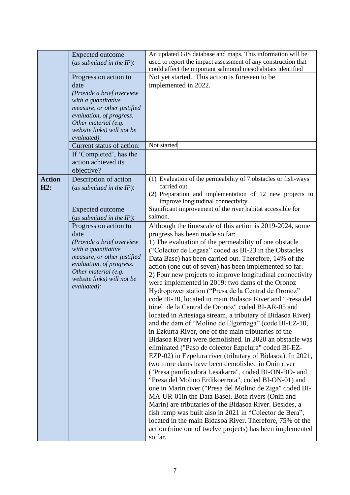|                      | <b>Expected outcome</b><br>(as submitted in the $IP$ ):<br>Progress on action to<br>date<br>(Provide a brief overview<br>with a quantitative<br>measure, or other justified<br>evaluation, of progress.<br>Other material (e.g.<br>website links) will not be<br>evaluated):<br>Current status of action:<br>If 'Completed', has the | An updated GIS database and maps. This information will be<br>used to report the impact assessment of any construction that<br>could affect the important salmonid mesohabitats identified<br>Not yet started. This action is foreseen to be<br>implemented in 2022.<br>Not started                                                                                                                                                                                                                                                                                                                                                                                                                                                                                                                                                                                                                                                                                                                                                                                                                                                                                                                                                                                                                                                                                                                                                                                                                                                                                                                                                                                                                                  |
|----------------------|--------------------------------------------------------------------------------------------------------------------------------------------------------------------------------------------------------------------------------------------------------------------------------------------------------------------------------------|----------------------------------------------------------------------------------------------------------------------------------------------------------------------------------------------------------------------------------------------------------------------------------------------------------------------------------------------------------------------------------------------------------------------------------------------------------------------------------------------------------------------------------------------------------------------------------------------------------------------------------------------------------------------------------------------------------------------------------------------------------------------------------------------------------------------------------------------------------------------------------------------------------------------------------------------------------------------------------------------------------------------------------------------------------------------------------------------------------------------------------------------------------------------------------------------------------------------------------------------------------------------------------------------------------------------------------------------------------------------------------------------------------------------------------------------------------------------------------------------------------------------------------------------------------------------------------------------------------------------------------------------------------------------------------------------------------------------|
| <b>Action</b><br>H2: | action achieved its<br>objective?<br>Description of action<br>(as submitted in the $IP$ ):                                                                                                                                                                                                                                           | (1) Evaluation of the permeability of 7 obstacles or fish-ways<br>carried out.                                                                                                                                                                                                                                                                                                                                                                                                                                                                                                                                                                                                                                                                                                                                                                                                                                                                                                                                                                                                                                                                                                                                                                                                                                                                                                                                                                                                                                                                                                                                                                                                                                       |
|                      | Expected outcome<br>(as submitted in the $IP$ ):<br>Progress on action to<br>date<br>(Provide a brief overview<br>with a quantitative<br>measure, or other justified<br>evaluation, of progress.<br>Other material (e.g.<br>website links) will not be<br>evaluated):                                                                | (2) Preparation and implementation of 12 new projects to<br>improve longitudinal connectivity.<br>Significant improvement of the river habitat accessible for<br>salmon.<br>Although the timescale of this action is 2019-2024, some<br>progress has been made so far:<br>1) The evaluation of the permeability of one obstacle<br>("Colector de Legasa" coded as BI-23 in the Obstacles<br>Data Base) has been carried out. Therefore, 14% of the<br>action (one out of seven) has been implemented so far.<br>2) Four new projects to improve longitudinal connectivity<br>were implemented in 2019: two dams of the Oronoz<br>Hydropower station ("Presa de la Central de Oronoz"<br>code BI-10, located in main Bidasoa River and "Presa del<br>túnel de la Central de Oronoz" coded BI-AR-05 and<br>located in Artesiaga stream, a tributary of Bidasoa River)<br>and the dam of "Molino de Elgorriaga" (code BI-EZ-10,<br>in Ezkurra River, one of the main tributaries of the<br>Bidasoa River) were demolished. In 2020 an obstacle was<br>eliminated ("Paso de colector Ezpelura" coded BI-EZ-<br>EZP-02) in Ezpelura river (tributary of Bidasoa). In 2021,<br>two more dams have been demolished in Onin river<br>("Presa panificadora Lesakarra", coded BI-ON-BO- and<br>"Presa del Molino Erdikoerrota", coded BI-ON-01) and<br>one in Marin river ("Presa del Molino de Ziga" coded BI-<br>MA-UR-01 in the Data Base). Both rivers (Onin and<br>Marin) are tributaries of the Bidasoa River. Besides, a<br>fish ramp was built also in 2021 in "Colector de Bera",<br>located in the main Bidasoa River. Therefore, 75% of the<br>action (nine out of twelve projects) has been implemented<br>so far. |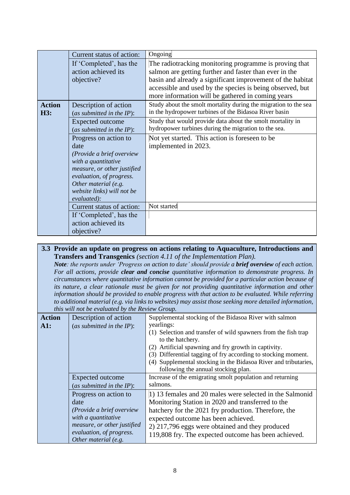|               | Current status of action:                          | Ongoing                                                         |
|---------------|----------------------------------------------------|-----------------------------------------------------------------|
|               | If 'Completed', has the                            | The radiotracking monitoring programme is proving that          |
|               | action achieved its                                | salmon are getting further and faster than ever in the          |
|               | objective?                                         | basin and already a significant improvement of the habitat      |
|               |                                                    | accessible and used by the species is being observed, but       |
|               |                                                    | more information will be gathered in coming years               |
| <b>Action</b> | Description of action                              | Study about the smolt mortality during the migration to the sea |
| H3:           | (as submitted in the $IP$ ):                       | in the hydropower turbines of the Bidasoa River basin           |
|               | <b>Expected outcome</b>                            | Study that would provide data about the smolt mortality in      |
|               | (as submitted in the $IP$ ):                       | hydropower turbines during the migration to the sea.            |
|               | Progress on action to                              | Not yet started. This action is foreseen to be                  |
|               | date                                               | implemented in 2023.                                            |
|               | (Provide a brief overview                          |                                                                 |
|               | with a quantitative                                |                                                                 |
|               | measure, or other justified                        |                                                                 |
|               | evaluation, of progress.                           |                                                                 |
|               | Other material (e.g.<br>website links) will not be |                                                                 |
|               | evaluated):                                        |                                                                 |
|               | Current status of action:                          | Not started                                                     |
|               | If 'Completed', has the                            |                                                                 |
|               | action achieved its                                |                                                                 |
|               | objective?                                         |                                                                 |

### **3.3 Provide an update on progress on actions relating to Aquaculture, Introductions and Transfers and Transgenics** *(section 4.11 of the Implementation Plan).*

*Note: the reports under 'Progress on action to date' should provide a brief overview of each action. For all actions, provide clear and concise quantitative information to demonstrate progress. In circumstances where quantitative information cannot be provided for a particular action because of its nature, a clear rationale must be given for not providing quantitative information and other information should be provided to enable progress with that action to be evaluated. While referring to additional material (e.g. via links to websites) may assist those seeking more detailed information, this will not be evaluated by the Review Group.*

| <b>Action</b> | Description of action        | Supplemental stocking of the Bidasoa River with salmon           |
|---------------|------------------------------|------------------------------------------------------------------|
| A1:           | (as submitted in the $IP$ ): | yearlings:                                                       |
|               |                              | (1) Selection and transfer of wild spawners from the fish trap   |
|               |                              | to the hatchery.                                                 |
|               |                              | (2) Artificial spawning and fry growth in captivity.             |
|               |                              | Differential tagging of fry according to stocking moment.<br>(3) |
|               |                              | (4) Supplemental stocking in the Bidasoa River and tributaries,  |
|               |                              | following the annual stocking plan.                              |
|               | Expected outcome             | Increase of the emigrating smolt population and returning        |
|               | (as submitted in the $IP$ ): | salmons.                                                         |
|               | Progress on action to        | 1) 13 females and 20 males were selected in the Salmonid         |
|               | date                         | Monitoring Station in 2020 and transferred to the                |
|               | (Provide a brief overview    | hatchery for the 2021 fry production. Therefore, the             |
|               | with a quantitative          | expected outcome has been achieved.                              |
|               | measure, or other justified  | 2) 217,796 eggs were obtained and they produced                  |
|               | evaluation, of progress.     | 119,808 fry. The expected outcome has been achieved.             |
|               | Other material (e.g.         |                                                                  |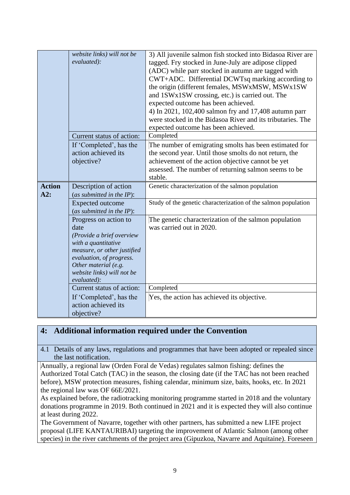|               | website links) will not be<br>evaluated):                    | 3) All juvenile salmon fish stocked into Bidasoa River are<br>tagged. Fry stocked in June-July are adipose clipped<br>(ADC) while parr stocked in autumn are tagged with<br>CWT+ADC. Differential DCWTsq marking according to<br>the origin (different females, MSWxMSW, MSWx1SW<br>and 1SWx1SW crossing, etc.) is carried out. The<br>expected outcome has been achieved.<br>4) In 2021, 102,400 salmon fry and 17,408 autumn parr<br>were stocked in the Bidasoa River and its tributaries. The<br>expected outcome has been achieved. |
|---------------|--------------------------------------------------------------|------------------------------------------------------------------------------------------------------------------------------------------------------------------------------------------------------------------------------------------------------------------------------------------------------------------------------------------------------------------------------------------------------------------------------------------------------------------------------------------------------------------------------------------|
|               | Current status of action:                                    | Completed                                                                                                                                                                                                                                                                                                                                                                                                                                                                                                                                |
|               | If 'Completed', has the<br>action achieved its<br>objective? | The number of emigrating smolts has been estimated for<br>the second year. Until those smolts do not return, the<br>achievement of the action objective cannot be yet<br>assessed. The number of returning salmon seems to be<br>stable.                                                                                                                                                                                                                                                                                                 |
| <b>Action</b> | Description of action                                        | Genetic characterization of the salmon population                                                                                                                                                                                                                                                                                                                                                                                                                                                                                        |
| A2:           | (as submitted in the $IP$ ):                                 |                                                                                                                                                                                                                                                                                                                                                                                                                                                                                                                                          |
|               |                                                              | Study of the genetic characterization of the salmon population                                                                                                                                                                                                                                                                                                                                                                                                                                                                           |
|               | <b>Expected outcome</b>                                      |                                                                                                                                                                                                                                                                                                                                                                                                                                                                                                                                          |
|               | (as submitted in the $IP$ ):                                 |                                                                                                                                                                                                                                                                                                                                                                                                                                                                                                                                          |
|               | Progress on action to<br>date<br>(Provide a brief overview   | The genetic characterization of the salmon population<br>was carried out in 2020.                                                                                                                                                                                                                                                                                                                                                                                                                                                        |
|               | with a quantitative                                          |                                                                                                                                                                                                                                                                                                                                                                                                                                                                                                                                          |
|               | measure, or other justified                                  |                                                                                                                                                                                                                                                                                                                                                                                                                                                                                                                                          |
|               | evaluation, of progress.                                     |                                                                                                                                                                                                                                                                                                                                                                                                                                                                                                                                          |
|               | Other material (e.g.                                         |                                                                                                                                                                                                                                                                                                                                                                                                                                                                                                                                          |
|               |                                                              |                                                                                                                                                                                                                                                                                                                                                                                                                                                                                                                                          |
|               |                                                              |                                                                                                                                                                                                                                                                                                                                                                                                                                                                                                                                          |
|               | website links) will not be<br>evaluated):                    |                                                                                                                                                                                                                                                                                                                                                                                                                                                                                                                                          |
|               | Current status of action:                                    | Completed                                                                                                                                                                                                                                                                                                                                                                                                                                                                                                                                |
|               |                                                              |                                                                                                                                                                                                                                                                                                                                                                                                                                                                                                                                          |
|               | If 'Completed', has the                                      | Yes, the action has achieved its objective.                                                                                                                                                                                                                                                                                                                                                                                                                                                                                              |
|               | action achieved its<br>objective?                            |                                                                                                                                                                                                                                                                                                                                                                                                                                                                                                                                          |

# **4: Additional information required under the Convention**

4.1 Details of any laws, regulations and programmes that have been adopted or repealed since the last notification.

Annually, a regional law (Orden Foral de Vedas) regulates salmon fishing: defines the Authorized Total Catch (TAC) in the season, the closing date (if the TAC has not been reached before), MSW protection measures, fishing calendar, minimum size, baits, hooks, etc. In 2021 the regional law was OF 66E/2021.

As explained before, the radiotracking monitoring programme started in 2018 and the voluntary donations programme in 2019. Both continued in 2021 and it is expected they will also continue at least during 2022.

The Government of Navarre, together with other partners, has submitted a new LIFE project proposal (LIFE KANTAURIBAI) targeting the improvement of Atlantic Salmon (among other species) in the river catchments of the project area (Gipuzkoa, Navarre and Aquitaine). Foreseen